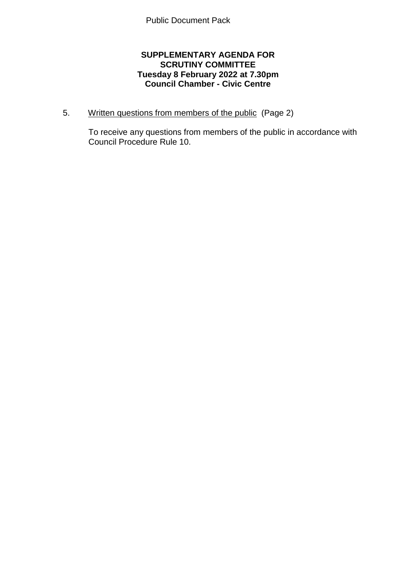## **SUPPLEMENTARY AGENDA FOR SCRUTINY COMMITTEE Tuesday 8 February 2022 at 7.30pm Council Chamber - Civic Centre**

5. Written questions from members of the public (Page 2)

To receive any questions from members of the public in accordance with Council Procedure Rule 10.